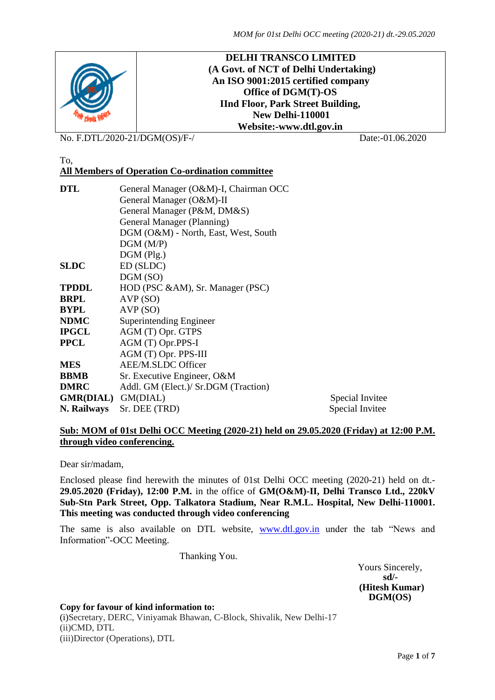

No. F.DTL/2020-21/DGM(OS)/F-/ Date:-01.06.2020

# To,

# **All Members of Operation Co-ordination committee**

| <b>DTL</b>                | General Manager (O&M)-I, Chairman OCC |                 |  |  |  |  |  |
|---------------------------|---------------------------------------|-----------------|--|--|--|--|--|
|                           | General Manager (O&M)-II              |                 |  |  |  |  |  |
|                           | General Manager (P&M, DM&S)           |                 |  |  |  |  |  |
|                           | General Manager (Planning)            |                 |  |  |  |  |  |
|                           | DGM (O&M) - North, East, West, South  |                 |  |  |  |  |  |
|                           | DGM(M/P)                              |                 |  |  |  |  |  |
|                           | $DGM$ (Plg.)                          |                 |  |  |  |  |  |
| <b>SLDC</b>               | ED (SLDC)                             |                 |  |  |  |  |  |
|                           | DGM (SO)                              |                 |  |  |  |  |  |
| <b>TPDDL</b>              | HOD (PSC &AM), Sr. Manager (PSC)      |                 |  |  |  |  |  |
| <b>BRPL</b>               | AVP (SO)                              |                 |  |  |  |  |  |
| <b>BYPL</b>               | AVP(SO)                               |                 |  |  |  |  |  |
| <b>NDMC</b>               | Superintending Engineer               |                 |  |  |  |  |  |
| <b>IPGCL</b>              | AGM (T) Opr. GTPS                     |                 |  |  |  |  |  |
| <b>PPCL</b>               | AGM (T) Opr.PPS-I                     |                 |  |  |  |  |  |
|                           | AGM (T) Opr. PPS-III                  |                 |  |  |  |  |  |
| <b>MES</b>                | <b>AEE/M.SLDC Officer</b>             |                 |  |  |  |  |  |
| <b>BBMB</b>               | Sr. Executive Engineer, O&M           |                 |  |  |  |  |  |
| <b>DMRC</b>               | Addl. GM (Elect.)/ Sr.DGM (Traction)  |                 |  |  |  |  |  |
| <b>GMR(DIAL)</b> GM(DIAL) |                                       | Special Invitee |  |  |  |  |  |
| N. Railways               | Sr. DEE (TRD)                         | Special Invitee |  |  |  |  |  |

### **Sub: MOM of 01st Delhi OCC Meeting (2020-21) held on 29.05.2020 (Friday) at 12:00 P.M. through video conferencing.**

#### Dear sir/madam,

Enclosed please find herewith the minutes of 01st Delhi OCC meeting (2020-21) held on dt.- **29.05.2020 (Friday), 12:00 P.M.** in the office of **GM(O&M)-II, Delhi Transco Ltd., 220kV Sub-Stn Park Street, Opp. Talkatora Stadium, Near R.M.L. Hospital, New Delhi-110001. This meeting was conducted through video conferencing**

The same is also available on DTL website, [www.dtl.gov.in](http://www.dtl.gov.in/) under the tab "News and Information"-OCC Meeting.

Thanking You.

Yours Sincerely,<br>sd/ **sd/- (Hitesh Kumar) DGM(OS)**

#### **Copy for favour of kind information to:**

(i)Secretary, DERC, Viniyamak Bhawan, C-Block, Shivalik, New Delhi-17 (ii)CMD, DTL (iii)Director (Operations), DTL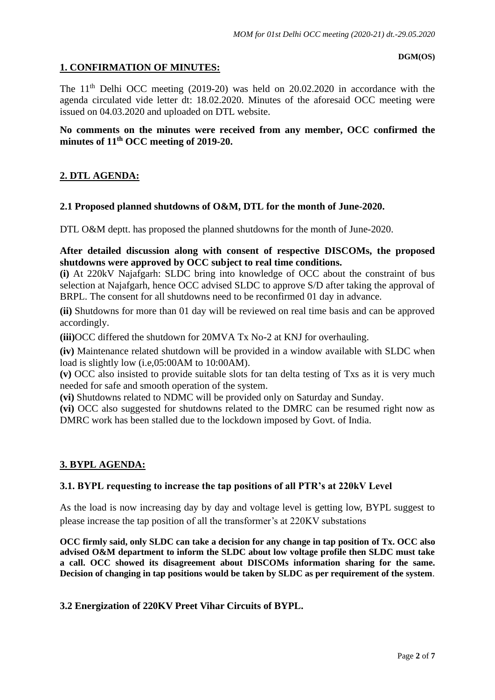#### **DGM(OS)**

# **1. CONFIRMATION OF MINUTES:**

The  $11<sup>th</sup>$  Delhi OCC meeting (2019-20) was held on 20.02.2020 in accordance with the agenda circulated vide letter dt: 18.02.2020. Minutes of the aforesaid OCC meeting were issued on 04.03.2020 and uploaded on DTL website.

# **No comments on the minutes were received from any member, OCC confirmed the minutes of 11 th OCC meeting of 2019-20.**

# **2. DTL AGENDA:**

# **2.1 Proposed planned shutdowns of O&M, DTL for the month of June-2020.**

DTL O&M deptt. has proposed the planned shutdowns for the month of June-2020.

# **After detailed discussion along with consent of respective DISCOMs, the proposed shutdowns were approved by OCC subject to real time conditions.**

**(i)** At 220kV Najafgarh: SLDC bring into knowledge of OCC about the constraint of bus selection at Najafgarh, hence OCC advised SLDC to approve S/D after taking the approval of BRPL. The consent for all shutdowns need to be reconfirmed 01 day in advance.

**(ii)** Shutdowns for more than 01 day will be reviewed on real time basis and can be approved accordingly.

**(iii)**OCC differed the shutdown for 20MVA Tx No-2 at KNJ for overhauling.

**(iv)** Maintenance related shutdown will be provided in a window available with SLDC when load is slightly low (i.e,05:00AM to 10:00AM).

**(v)** OCC also insisted to provide suitable slots for tan delta testing of Txs as it is very much needed for safe and smooth operation of the system.

**(vi)** Shutdowns related to NDMC will be provided only on Saturday and Sunday.

**(vi)** OCC also suggested for shutdowns related to the DMRC can be resumed right now as DMRC work has been stalled due to the lockdown imposed by Govt. of India.

# **3. BYPL AGENDA:**

# **3.1. BYPL requesting to increase the tap positions of all PTR's at 220kV Level**

As the load is now increasing day by day and voltage level is getting low, BYPL suggest to please increase the tap position of all the transformer's at 220KV substations

**OCC firmly said, only SLDC can take a decision for any change in tap position of Tx. OCC also advised O&M department to inform the SLDC about low voltage profile then SLDC must take a call. OCC showed its disagreement about DISCOMs information sharing for the same. Decision of changing in tap positions would be taken by SLDC as per requirement of the system**.

#### **3.2 Energization of 220KV Preet Vihar Circuits of BYPL.**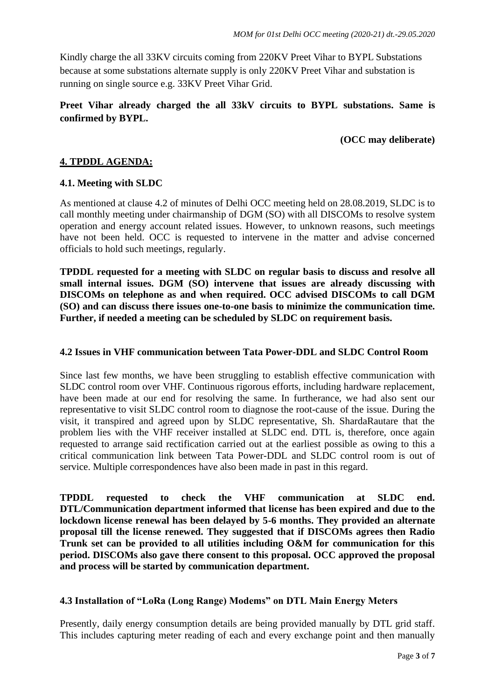Kindly charge the all 33KV circuits coming from 220KV Preet Vihar to BYPL Substations because at some substations alternate supply is only 220KV Preet Vihar and substation is running on single source e.g. 33KV Preet Vihar Grid.

# **Preet Vihar already charged the all 33kV circuits to BYPL substations. Same is confirmed by BYPL.**

### **(OCC may deliberate)**

# **4. TPDDL AGENDA:**

### **4.1. Meeting with SLDC**

As mentioned at clause 4.2 of minutes of Delhi OCC meeting held on 28.08.2019, SLDC is to call monthly meeting under chairmanship of DGM (SO) with all DISCOMs to resolve system operation and energy account related issues. However, to unknown reasons, such meetings have not been held. OCC is requested to intervene in the matter and advise concerned officials to hold such meetings, regularly.

**TPDDL requested for a meeting with SLDC on regular basis to discuss and resolve all small internal issues. DGM (SO) intervene that issues are already discussing with DISCOMs on telephone as and when required. OCC advised DISCOMs to call DGM (SO) and can discuss there issues one-to-one basis to minimize the communication time. Further, if needed a meeting can be scheduled by SLDC on requirement basis.** 

### **4.2 Issues in VHF communication between Tata Power-DDL and SLDC Control Room**

Since last few months, we have been struggling to establish effective communication with SLDC control room over VHF. Continuous rigorous efforts, including hardware replacement, have been made at our end for resolving the same. In furtherance, we had also sent our representative to visit SLDC control room to diagnose the root-cause of the issue. During the visit, it transpired and agreed upon by SLDC representative, Sh. ShardaRautare that the problem lies with the VHF receiver installed at SLDC end. DTL is, therefore, once again requested to arrange said rectification carried out at the earliest possible as owing to this a critical communication link between Tata Power-DDL and SLDC control room is out of service. Multiple correspondences have also been made in past in this regard.

**TPDDL requested to check the VHF communication at SLDC end. DTL/Communication department informed that license has been expired and due to the lockdown license renewal has been delayed by 5-6 months. They provided an alternate proposal till the license renewed. They suggested that if DISCOMs agrees then Radio Trunk set can be provided to all utilities including O&M for communication for this period. DISCOMs also gave there consent to this proposal. OCC approved the proposal and process will be started by communication department.** 

# **4.3 Installation of "LoRa (Long Range) Modems" on DTL Main Energy Meters**

Presently, daily energy consumption details are being provided manually by DTL grid staff. This includes capturing meter reading of each and every exchange point and then manually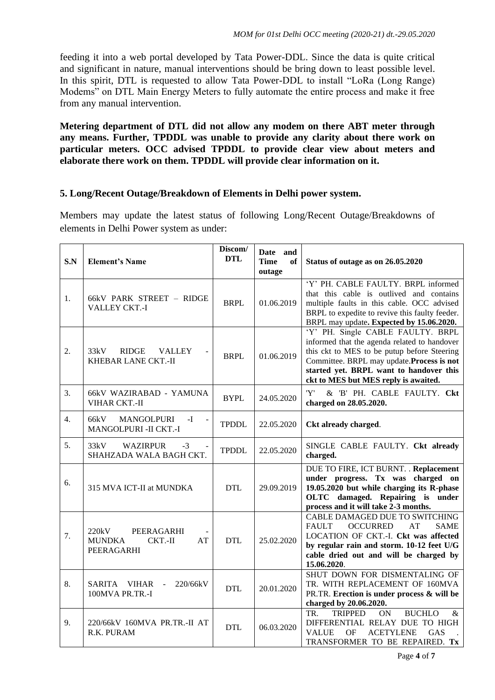feeding it into a web portal developed by Tata Power-DDL. Since the data is quite critical and significant in nature, manual interventions should be bring down to least possible level. In this spirit, DTL is requested to allow Tata Power-DDL to install "LoRa (Long Range) Modems" on DTL Main Energy Meters to fully automate the entire process and make it free from any manual intervention.

**Metering department of DTL did not allow any modem on there ABT meter through any means. Further, TPDDL was unable to provide any clarity about there work on particular meters. OCC advised TPDDL to provide clear view about meters and elaborate there work on them. TPDDL will provide clear information on it.** 

# **5. Long/Recent Outage/Breakdown of Elements in Delhi power system.**

Members may update the latest status of following Long/Recent Outage/Breakdowns of elements in Delhi Power system as under:

| S.N              | <b>Element's Name</b>                                                       | Discom/<br><b>DTL</b> | Date and<br><b>Time</b><br>of<br>outage | Status of outage as on 26.05.2020                                                                                                                                                                                                                                 |
|------------------|-----------------------------------------------------------------------------|-----------------------|-----------------------------------------|-------------------------------------------------------------------------------------------------------------------------------------------------------------------------------------------------------------------------------------------------------------------|
| 1.               | 66kV PARK STREET - RIDGE<br>VALLEY CKT.-I                                   | <b>BRPL</b>           | 01.06.2019                              | 'Y' PH. CABLE FAULTY. BRPL informed<br>that this cable is outlived and contains<br>multiple faults in this cable. OCC advised<br>BRPL to expedite to revive this faulty feeder.<br>BRPL may update. Expected by 15.06.2020.                                       |
| $\overline{2}$ . | 33kV<br><b>RIDGE</b><br><b>VALLEY</b><br><b>KHEBAR LANE CKT.-II</b>         | <b>BRPL</b>           | 01.06.2019                              | 'Y' PH. Single CABLE FAULTY. BRPL<br>informed that the agenda related to handover<br>this ckt to MES to be putup before Steering<br>Committee. BRPL may update. Process is not<br>started yet. BRPL want to handover this<br>ckt to MES but MES reply is awaited. |
| 3.               | 66kV WAZIRABAD - YAMUNA<br><b>VIHAR CKT.-II</b>                             | <b>BYPL</b>           | 24.05.2020                              | 'Y'<br>& 'B' PH. CABLE FAULTY. Ckt<br>charged on 28.05.2020.                                                                                                                                                                                                      |
| 4.               | <b>MANGOLPURI</b><br>66kV<br>-I<br>$\blacksquare$<br>MANGOLPURI - II CKT.-I | <b>TPDDL</b>          | 22.05.2020                              | Ckt already charged.                                                                                                                                                                                                                                              |
| 5.               | 33kV<br><b>WAZIRPUR</b><br>$-3$<br>SHAHZADA WALA BAGH CKT.                  | <b>TPDDL</b>          | 22.05.2020                              | SINGLE CABLE FAULTY. Ckt already<br>charged.                                                                                                                                                                                                                      |
| 6.               | 315 MVA ICT-II at MUNDKA                                                    | <b>DTL</b>            | 29.09.2019                              | DUE TO FIRE, ICT BURNT. . Replacement<br>under progress. Tx was charged on<br>19.05.2020 but while charging its R-phase<br>OLTC damaged. Repairing is under<br>process and it will take 2-3 months.                                                               |
| 7.               | 220kV<br>PEERAGARHI<br><b>MUNDKA</b><br>CKT.-II<br>AT<br>PEERAGARHI         | <b>DTL</b>            | 25.02.2020                              | CABLE DAMAGED DUE TO SWITCHING<br><b>FAULT</b><br><b>OCCURRED</b><br>AT<br><b>SAME</b><br>LOCATION OF CKT.-I. Ckt was affected<br>by regular rain and storm. 10-12 feet U/G<br>cable dried out and will be charged by<br>15.06.2020.                              |
| 8.               | SARITA VIHAR<br>220/66kV<br>$\overline{a}$<br>100MVA PR.TR.-I               | <b>DTL</b>            | 20.01.2020                              | SHUT DOWN FOR DISMENTALING OF<br>TR. WITH REPLACEMENT OF 160MVA<br>PR.TR. Erection is under process & will be<br>charged by 20.06.2020.                                                                                                                           |
| 9.               | 220/66kV 160MVA PR.TR.-II AT<br>R.K. PURAM                                  | <b>DTL</b>            | 06.03.2020                              | <b>TRIPPED</b><br>TR.<br>ON<br><b>BUCHLO</b><br>&<br>DIFFERENTIAL RELAY DUE TO HIGH<br><b>VALUE</b><br>OF<br><b>ACETYLENE</b><br>GAS<br>TRANSFORMER TO BE REPAIRED. Tx                                                                                            |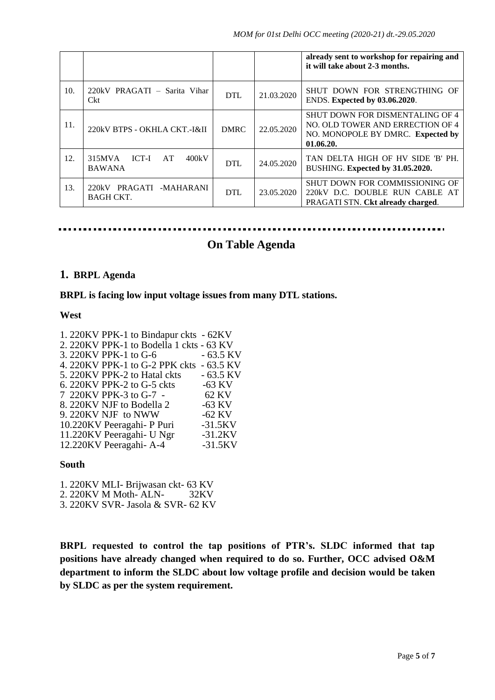|     |                                                 |             |            | already sent to workshop for repairing and<br>it will take about 2-3 months.                                                 |
|-----|-------------------------------------------------|-------------|------------|------------------------------------------------------------------------------------------------------------------------------|
| 10. | 220kV PRAGATI - Sarita Vihar<br>Ckt             | <b>DTL</b>  | 21.03.2020 | SHUT DOWN FOR STRENGTHING OF<br>ENDS. Expected by 03.06.2020.                                                                |
| 11. | 220kV BTPS - OKHLA CKT.-I&II                    | <b>DMRC</b> | 22.05.2020 | <b>SHUT DOWN FOR DISMENTALING OF 4</b><br>NO. OLD TOWER AND ERRECTION OF 4<br>NO. MONOPOLE BY DMRC. Expected by<br>01.06.20. |
| 12. | ICT-I<br>400kV<br>315MVA<br>AT<br><b>BAWANA</b> | <b>DTL</b>  | 24.05.2020 | TAN DELTA HIGH OF HV SIDE 'B' PH.<br>BUSHING. Expected by 31.05.2020.                                                        |
| 13. | 220kV PRAGATI<br>-MAHARANI<br>BAGH CKT.         | <b>DTL</b>  | 23.05.2020 | SHUT DOWN FOR COMMISSIONING OF<br>220kV D.C. DOUBLE RUN CABLE<br>AT<br><b>PRAGATI STN. Ckt already charged.</b>              |

# **On Table Agenda**

#### **1. BRPL Agenda**

### **BRPL is facing low input voltage issues from many DTL stations.**

#### **West**

| 1. 220KV PPK-1 to Bindapur ckts - 62KV   |            |
|------------------------------------------|------------|
| 2. 220KV PPK-1 to Bodella 1 ckts - 63 KV |            |
| 3. 220KV PPK-1 to G-6                    | $-63.5$ KV |
| 4. 220KV PPK-1 to G-2 PPK ckts - 63.5 KV |            |
| 5. 220KV PPK-2 to Hatal ckts             | $-63.5$ KV |
| 6. 220KV PPK-2 to G-5 ckts               | $-63$ KV   |
| 7 220KV PPK-3 to G-7 -                   | 62 KV      |
| 8. 220KV NJF to Bodella 2                | $-63$ KV   |
| 9. 220KV NJF to NWW                      | $-62$ KV   |
| 10.220KV Peeragahi- P Puri               | $-31.5KV$  |
| 11.220KV Peeragahi- U Ngr                | $-31.2$ KV |
| 12.220KV Peeragahi-A-4                   | $-31.5KV$  |

#### **South**

- 1. 220KV MLI- Brijwasan ckt- 63 KV
- 2. 220KV M Moth- ALN- 32KV
- 3. 220KV SVR- Jasola & SVR- 62 KV

**BRPL requested to control the tap positions of PTR's. SLDC informed that tap positions have already changed when required to do so. Further, OCC advised O&M department to inform the SLDC about low voltage profile and decision would be taken by SLDC as per the system requirement.**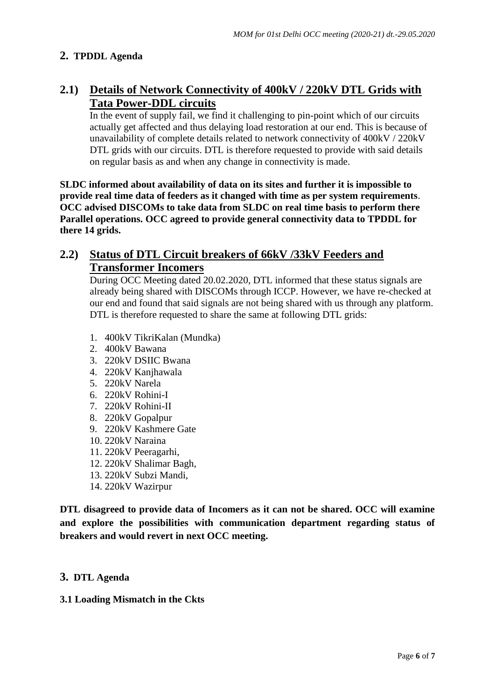# **2. TPDDL Agenda**

# **2.1) Details of Network Connectivity of 400kV / 220kV DTL Grids with Tata Power-DDL circuits**

In the event of supply fail, we find it challenging to pin-point which of our circuits actually get affected and thus delaying load restoration at our end. This is because of unavailability of complete details related to network connectivity of 400kV / 220kV DTL grids with our circuits. DTL is therefore requested to provide with said details on regular basis as and when any change in connectivity is made.

**SLDC informed about availability of data on its sites and further it is impossible to provide real time data of feeders as it changed with time as per system requirements**. **OCC advised DISCOMs to take data from SLDC on real time basis to perform there Parallel operations. OCC agreed to provide general connectivity data to TPDDL for there 14 grids.**

# **2.2) Status of DTL Circuit breakers of 66kV /33kV Feeders and Transformer Incomers**

During OCC Meeting dated 20.02.2020, DTL informed that these status signals are already being shared with DISCOMs through ICCP. However, we have re-checked at our end and found that said signals are not being shared with us through any platform. DTL is therefore requested to share the same at following DTL grids:

- 1. 400kV TikriKalan (Mundka)
- 2. 400kV Bawana
- 3. 220kV DSIIC Bwana
- 4. 220kV Kanjhawala
- 5. 220kV Narela
- 6. 220kV Rohini-I
- 7. 220kV Rohini-II
- 8. 220kV Gopalpur
- 9. 220kV Kashmere Gate
- 10. 220kV Naraina
- 11. 220kV Peeragarhi,
- 12. 220kV Shalimar Bagh,
- 13. 220kV Subzi Mandi,
- 14. 220kV Wazirpur

**DTL disagreed to provide data of Incomers as it can not be shared. OCC will examine and explore the possibilities with communication department regarding status of breakers and would revert in next OCC meeting.**

#### **3. DTL Agenda**

#### **3.1 Loading Mismatch in the Ckts**